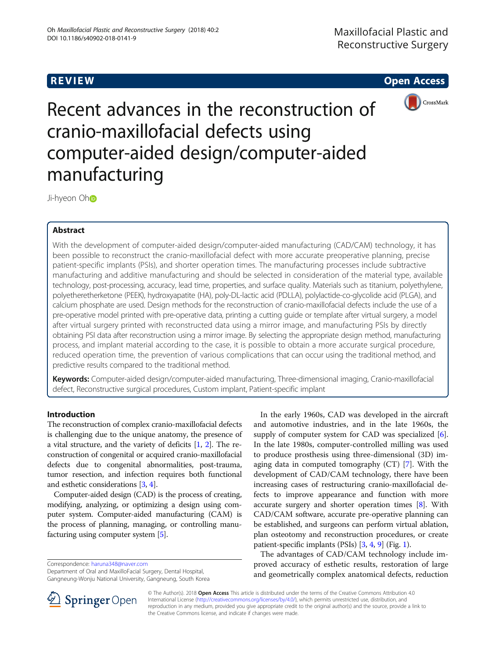**REVIEW ACCESS AND LOCAL CONTRACT CONTRACT OF ACCESS** 



Recent advances in the reconstruction of cranio-maxillofacial defects using computer-aided design/computer-aided manufacturing

Ji-[h](http://orcid.org/0000-0002-6050-7175)yeon Oho

# Abstract

With the development of computer-aided design/computer-aided manufacturing (CAD/CAM) technology, it has been possible to reconstruct the cranio-maxillofacial defect with more accurate preoperative planning, precise patient-specific implants (PSIs), and shorter operation times. The manufacturing processes include subtractive manufacturing and additive manufacturing and should be selected in consideration of the material type, available technology, post-processing, accuracy, lead time, properties, and surface quality. Materials such as titanium, polyethylene, polyetheretherketone (PEEK), hydroxyapatite (HA), poly-DL-lactic acid (PDLLA), polylactide-co-glycolide acid (PLGA), and calcium phosphate are used. Design methods for the reconstruction of cranio-maxillofacial defects include the use of a pre-operative model printed with pre-operative data, printing a cutting guide or template after virtual surgery, a model after virtual surgery printed with reconstructed data using a mirror image, and manufacturing PSIs by directly obtaining PSI data after reconstruction using a mirror image. By selecting the appropriate design method, manufacturing process, and implant material according to the case, it is possible to obtain a more accurate surgical procedure, reduced operation time, the prevention of various complications that can occur using the traditional method, and predictive results compared to the traditional method.

Keywords: Computer-aided design/computer-aided manufacturing, Three-dimensional imaging, Cranio-maxillofacial defect, Reconstructive surgical procedures, Custom implant, Patient-specific implant

# Introduction

The reconstruction of complex cranio-maxillofacial defects is challenging due to the unique anatomy, the presence of a vital structure, and the variety of deficits [\[1,](#page-4-0) [2](#page-4-0)]. The reconstruction of congenital or acquired cranio-maxillofacial defects due to congenital abnormalities, post-trauma, tumor resection, and infection requires both functional and esthetic considerations [\[3,](#page-4-0) [4](#page-4-0)].

Computer-aided design (CAD) is the process of creating, modifying, analyzing, or optimizing a design using computer system. Computer-aided manufacturing (CAM) is the process of planning, managing, or controlling manufacturing using computer system [[5\]](#page-4-0).

Correspondence: [haruna348@naver.com](mailto:haruna348@naver.com)

Department of Oral and MaxilloFacial Surgery, Dental Hospital, Gangneung-Wonju National University, Gangneung, South Korea

In the early 1960s, CAD was developed in the aircraft and automotive industries, and in the late 1960s, the supply of computer system for CAD was specialized [\[6](#page-4-0)]. In the late 1980s, computer-controlled milling was used to produce prosthesis using three-dimensional (3D) imaging data in computed tomography (CT) [\[7](#page-4-0)]. With the development of CAD/CAM technology, there have been increasing cases of restructuring cranio-maxillofacial defects to improve appearance and function with more accurate surgery and shorter operation times [\[8\]](#page-4-0). With CAD/CAM software, accurate pre-operative planning can be established, and surgeons can perform virtual ablation, plan osteotomy and reconstruction procedures, or create patient-specific implants (PSIs) [\[3](#page-4-0), [4,](#page-4-0) [9](#page-5-0)] (Fig. [1\)](#page-1-0).

The advantages of CAD/CAM technology include improved accuracy of esthetic results, restoration of large and geometrically complex anatomical defects, reduction



© The Author(s). 2018 Open Access This article is distributed under the terms of the Creative Commons Attribution 4.0 International License ([http://creativecommons.org/licenses/by/4.0/\)](http://creativecommons.org/licenses/by/4.0/), which permits unrestricted use, distribution, and reproduction in any medium, provided you give appropriate credit to the original author(s) and the source, provide a link to the Creative Commons license, and indicate if changes were made.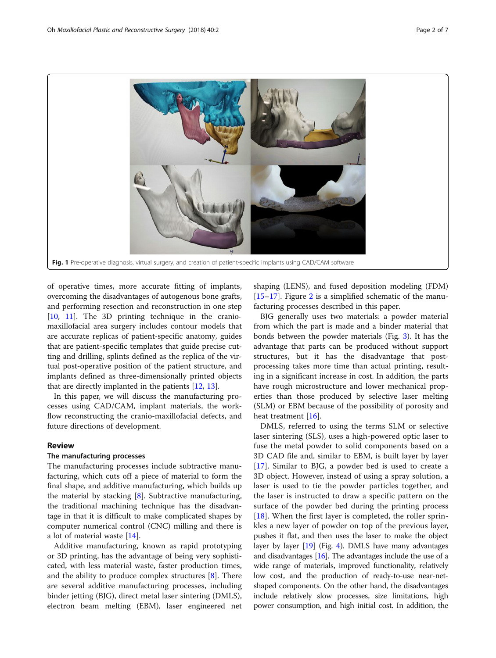<span id="page-1-0"></span>

of operative times, more accurate fitting of implants, overcoming the disadvantages of autogenous bone grafts, and performing resection and reconstruction in one step [[10,](#page-5-0) [11](#page-5-0)]. The 3D printing technique in the craniomaxillofacial area surgery includes contour models that are accurate replicas of patient-specific anatomy, guides that are patient-specific templates that guide precise cutting and drilling, splints defined as the replica of the virtual post-operative position of the patient structure, and implants defined as three-dimensionally printed objects that are directly implanted in the patients [[12](#page-5-0), [13](#page-5-0)].

In this paper, we will discuss the manufacturing processes using CAD/CAM, implant materials, the workflow reconstructing the cranio-maxillofacial defects, and future directions of development.

# Review

### The manufacturing processes

The manufacturing processes include subtractive manufacturing, which cuts off a piece of material to form the final shape, and additive manufacturing, which builds up the material by stacking [[8\]](#page-4-0). Subtractive manufacturing, the traditional machining technique has the disadvantage in that it is difficult to make complicated shapes by computer numerical control (CNC) milling and there is a lot of material waste [[14\]](#page-5-0).

Additive manufacturing, known as rapid prototyping or 3D printing, has the advantage of being very sophisticated, with less material waste, faster production times, and the ability to produce complex structures [[8\]](#page-4-0). There are several additive manufacturing processes, including binder jetting (BJG), direct metal laser sintering (DMLS), electron beam melting (EBM), laser engineered net

shaping (LENS), and fused deposition modeling (FDM)  $[15–17]$  $[15–17]$  $[15–17]$  $[15–17]$  $[15–17]$ . Figure [2](#page-2-0) is a simplified schematic of the manufacturing processes described in this paper.

BJG generally uses two materials: a powder material from which the part is made and a binder material that bonds between the powder materials (Fig. [3\)](#page-2-0). It has the advantage that parts can be produced without support structures, but it has the disadvantage that postprocessing takes more time than actual printing, resulting in a significant increase in cost. In addition, the parts have rough microstructure and lower mechanical properties than those produced by selective laser melting (SLM) or EBM because of the possibility of porosity and heat treatment [\[16\]](#page-5-0).

DMLS, referred to using the terms SLM or selective laser sintering (SLS), uses a high-powered optic laser to fuse the metal powder to solid components based on a 3D CAD file and, similar to EBM, is built layer by layer [[17\]](#page-5-0). Similar to BJG, a powder bed is used to create a 3D object. However, instead of using a spray solution, a laser is used to tie the powder particles together, and the laser is instructed to draw a specific pattern on the surface of the powder bed during the printing process [[18\]](#page-5-0). When the first layer is completed, the roller sprinkles a new layer of powder on top of the previous layer, pushes it flat, and then uses the laser to make the object layer by layer [\[19\]](#page-5-0) (Fig. [4\)](#page-2-0). DMLS have many advantages and disadvantages [\[16\]](#page-5-0). The advantages include the use of a wide range of materials, improved functionality, relatively low cost, and the production of ready-to-use near-netshaped components. On the other hand, the disadvantages include relatively slow processes, size limitations, high power consumption, and high initial cost. In addition, the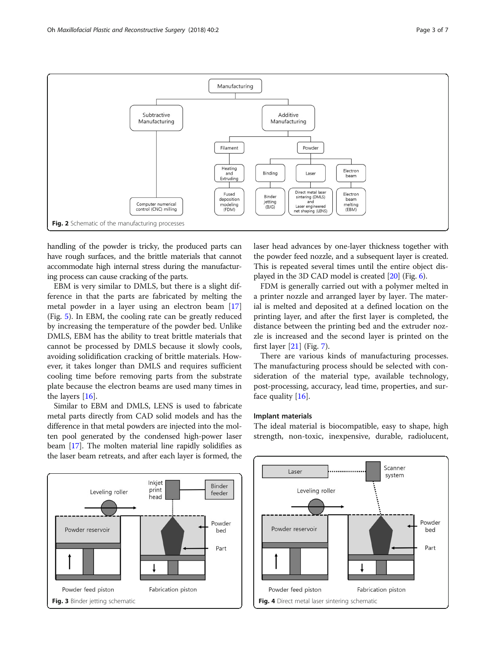<span id="page-2-0"></span>

handling of the powder is tricky, the produced parts can have rough surfaces, and the brittle materials that cannot accommodate high internal stress during the manufacturing process can cause cracking of the parts.

EBM is very similar to DMLS, but there is a slight difference in that the parts are fabricated by melting the metal powder in a layer using an electron beam [[17](#page-5-0)] (Fig. [5\)](#page-3-0). In EBM, the cooling rate can be greatly reduced by increasing the temperature of the powder bed. Unlike DMLS, EBM has the ability to treat brittle materials that cannot be processed by DMLS because it slowly cools, avoiding solidification cracking of brittle materials. However, it takes longer than DMLS and requires sufficient cooling time before removing parts from the substrate plate because the electron beams are used many times in the layers [[16\]](#page-5-0).

Similar to EBM and DMLS, LENS is used to fabricate metal parts directly from CAD solid models and has the difference in that metal powders are injected into the molten pool generated by the condensed high-power laser beam [[17](#page-5-0)]. The molten material line rapidly solidifies as the laser beam retreats, and after each layer is formed, the laser head advances by one-layer thickness together with the powder feed nozzle, and a subsequent layer is created. This is repeated several times until the entire object displayed in the 3D CAD model is created [\[20\]](#page-5-0) (Fig. [6](#page-3-0)).

FDM is generally carried out with a polymer melted in a printer nozzle and arranged layer by layer. The material is melted and deposited at a defined location on the printing layer, and after the first layer is completed, the distance between the printing bed and the extruder nozzle is increased and the second layer is printed on the first layer  $[21]$  $[21]$  (Fig. [7\)](#page-3-0).

There are various kinds of manufacturing processes. The manufacturing process should be selected with consideration of the material type, available technology, post-processing, accuracy, lead time, properties, and sur-face quality [\[16](#page-5-0)].

### Implant materials

The ideal material is biocompatible, easy to shape, high strength, non-toxic, inexpensive, durable, radiolucent,



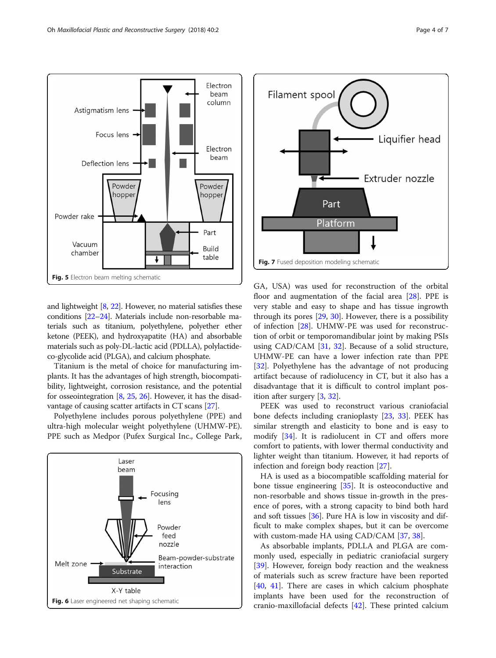<span id="page-3-0"></span>

Filament spool Liquifier head Extruder nozzle Part Platform Fig. 7 Fused deposition modeling schematic

and lightweight [\[8](#page-4-0), [22](#page-5-0)]. However, no material satisfies these conditions [[22](#page-5-0)–[24](#page-5-0)]. Materials include non-resorbable materials such as titanium, polyethylene, polyether ether ketone (PEEK), and hydroxyapatite (HA) and absorbable materials such as poly-DL-lactic acid (PDLLA), polylactideco-glycolide acid (PLGA), and calcium phosphate.

Titanium is the metal of choice for manufacturing implants. It has the advantages of high strength, biocompatibility, lightweight, corrosion resistance, and the potential for osseointegration  $[8, 25, 26]$  $[8, 25, 26]$  $[8, 25, 26]$  $[8, 25, 26]$  $[8, 25, 26]$  $[8, 25, 26]$ . However, it has the disadvantage of causing scatter artifacts in CT scans [[27](#page-5-0)].

Polyethylene includes porous polyethylene (PPE) and ultra-high molecular weight polyethylene (UHMW-PE). PPE such as Medpor (Pufex Surgical Inc., College Park,



GA, USA) was used for reconstruction of the orbital floor and augmentation of the facial area [[28\]](#page-5-0). PPE is very stable and easy to shape and has tissue ingrowth through its pores  $[29, 30]$  $[29, 30]$  $[29, 30]$  $[29, 30]$ . However, there is a possibility of infection [[28](#page-5-0)]. UHMW-PE was used for reconstruction of orbit or temporomandibular joint by making PSIs using  $CAD/CAM$  [[31,](#page-5-0) [32\]](#page-5-0). Because of a solid structure, UHMW-PE can have a lower infection rate than PPE [[32\]](#page-5-0). Polyethylene has the advantage of not producing artifact because of radiolucency in CT, but it also has a disadvantage that it is difficult to control implant position after surgery [[3,](#page-4-0) [32\]](#page-5-0).

PEEK was used to reconstruct various craniofacial bone defects including cranioplasty [\[23](#page-5-0), [33\]](#page-5-0). PEEK has similar strength and elasticity to bone and is easy to modify [[34](#page-5-0)]. It is radiolucent in CT and offers more comfort to patients, with lower thermal conductivity and lighter weight than titanium. However, it had reports of infection and foreign body reaction [\[27](#page-5-0)].

HA is used as a biocompatible scaffolding material for bone tissue engineering [[35\]](#page-5-0). It is osteoconductive and non-resorbable and shows tissue in-growth in the presence of pores, with a strong capacity to bind both hard and soft tissues [[36](#page-5-0)]. Pure HA is low in viscosity and difficult to make complex shapes, but it can be overcome with custom-made HA using CAD/CAM [\[37](#page-5-0), [38](#page-5-0)].

As absorbable implants, PDLLA and PLGA are commonly used, especially in pediatric craniofacial surgery [[39\]](#page-5-0). However, foreign body reaction and the weakness of materials such as screw fracture have been reported [[40,](#page-5-0) [41\]](#page-5-0). There are cases in which calcium phosphate implants have been used for the reconstruction of cranio-maxillofacial defects [\[42](#page-5-0)]. These printed calcium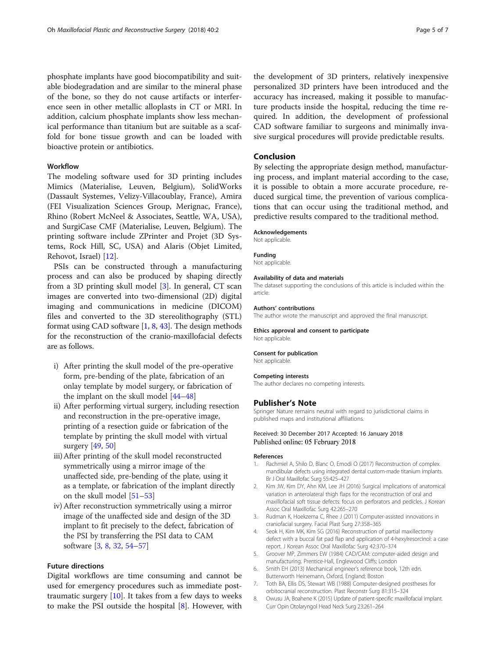<span id="page-4-0"></span>phosphate implants have good biocompatibility and suitable biodegradation and are similar to the mineral phase of the bone, so they do not cause artifacts or interference seen in other metallic alloplasts in CT or MRI. In addition, calcium phosphate implants show less mechanical performance than titanium but are suitable as a scaffold for bone tissue growth and can be loaded with bioactive protein or antibiotics.

# Workflow

The modeling software used for 3D printing includes Mimics (Materialise, Leuven, Belgium), SolidWorks (Dassault Systemes, Velizy-Villacoublay, France), Amira (FEI Visualization Sciences Group, Merignac, France), Rhino (Robert McNeel & Associates, Seattle, WA, USA), and SurgiCase CMF (Materialise, Leuven, Belgium). The printing software include ZPrinter and Projet (3D Systems, Rock Hill, SC, USA) and Alaris (Objet Limited, Rehovot, Israel) [[12\]](#page-5-0).

PSIs can be constructed through a manufacturing process and can also be produced by shaping directly from a 3D printing skull model [3]. In general, CT scan images are converted into two-dimensional (2D) digital imaging and communications in medicine (DICOM) files and converted to the 3D stereolithography (STL) format using CAD software  $[1, 8, 43]$  $[1, 8, 43]$  $[1, 8, 43]$ . The design methods for the reconstruction of the cranio-maxillofacial defects are as follows.

- i) After printing the skull model of the pre-operative form, pre-bending of the plate, fabrication of an onlay template by model surgery, or fabrication of the implant on the skull model [\[44](#page-5-0)–[48](#page-5-0)]
- ii) After performing virtual surgery, including resection and reconstruction in the pre-operative image, printing of a resection guide or fabrication of the template by printing the skull model with virtual surgery [[49,](#page-5-0) [50](#page-5-0)]
- iii)After printing of the skull model reconstructed symmetrically using a mirror image of the unaffected side, pre-bending of the plate, using it as a template, or fabrication of the implant directly on the skull model [[51](#page-5-0)–[53\]](#page-5-0)
- iv) After reconstruction symmetrically using a mirror image of the unaffected side and design of the 3D implant to fit precisely to the defect, fabrication of the PSI by transferring the PSI data to CAM software [3, 8, [32,](#page-5-0) [54](#page-5-0)–[57\]](#page-6-0)

# Future directions

Digital workflows are time consuming and cannot be used for emergency procedures such as immediate posttraumatic surgery  $[10]$ . It takes from a few days to weeks to make the PSI outside the hospital [8]. However, with the development of 3D printers, relatively inexpensive personalized 3D printers have been introduced and the accuracy has increased, making it possible to manufacture products inside the hospital, reducing the time required. In addition, the development of professional CAD software familiar to surgeons and minimally invasive surgical procedures will provide predictable results.

### Conclusion

By selecting the appropriate design method, manufacturing process, and implant material according to the case, it is possible to obtain a more accurate procedure, reduced surgical time, the prevention of various complications that can occur using the traditional method, and predictive results compared to the traditional method.

#### Acknowledgements

Not applicable.

## Funding

Not applicable.

#### Availability of data and materials

The dataset supporting the conclusions of this article is included within the article.

#### Authors' contributions

The author wrote the manuscript and approved the final manuscript.

#### Ethics approval and consent to participate

Not applicable.

# Consent for publication

Not applicable.

#### Competing interests

The author declares no competing interests.

# Publisher's Note

Springer Nature remains neutral with regard to jurisdictional claims in published maps and institutional affiliations.

### Received: 30 December 2017 Accepted: 16 January 2018 Published online: 05 February 2018

#### References

- 1. Rachmiel A, Shilo D, Blanc O, Emodi O (2017) Reconstruction of complex mandibular defects using integrated dental custom-made titanium implants. Br J Oral Maxillofac Surg 55:425–427
- Kim JW, Kim DY, Ahn KM, Lee JH (2016) Surgical implications of anatomical variation in anterolateral thigh flaps for the reconstruction of oral and maxillofacial soft tissue defects: focus on perforators and pedicles. J Korean Assoc Oral Maxillofac Surg 42:265–270
- 3. Rudman K, Hoekzema C, Rhee J (2011) Computer-assisted innovations in craniofacial surgery. Facial Plast Surg 27:358–365
- 4. Seok H, Kim MK, Kim SG (2016) Reconstruction of partial maxillectomy defect with a buccal fat pad flap and application of 4-hexylresorcinol: a case report. J Korean Assoc Oral Maxillofac Surg 42:370–374
- 5. Groover MP, Zimmers EW (1984) CAD/CAM: computer-aided design and manufacturing. Prentice-Hall, Englewood Cliffs; London
- 6. Smith EH (2013) Mechanical engineer's reference book, 12th edn. Butterworth Heinemann, Oxford, England; Boston
- 7. Toth BA, Ellis DS, Stewart WB (1988) Computer-designed prostheses for orbitocranial reconstruction. Plast Reconstr Surg 81:315–324
- 8. Owusu JA, Boahene K (2015) Update of patient-specific maxillofacial implant. Curr Opin Otolaryngol Head Neck Surg 23:261–264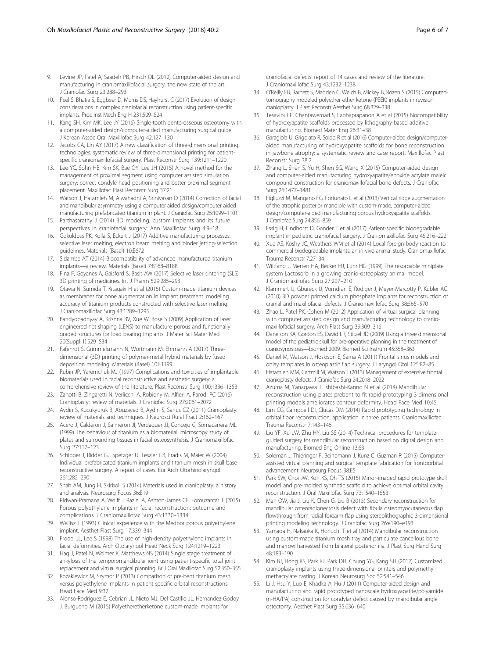- <span id="page-5-0"></span>9. Levine JP, Patel A, Saadeh PB, Hirsch DL (2012) Computer-aided design and manufacturing in craniomaxillofacial surgery: the new state of the art. J Craniofac Surg 23:288–293
- 10. Peel S, Bhatia S, Eggbeer D, Morris DS, Hayhurst C (2017) Evolution of design considerations in complex craniofacial reconstruction using patient-specific implants. Proc Inst Mech Eng H 231:509–524
- 11. Kang SH, Kim MK, Lee JY (2016) Single-tooth dento-osseous osteotomy with a computer-aided design/computer-aided manufacturing surgical guide. J Korean Assoc Oral Maxillofac Surg 42:127–130
- 12. Jacobs CA, Lin AY (2017) A new classification of three-dimensional printing technologies: systematic review of three-dimensional printing for patientspecific craniomaxillofacial surgery. Plast Reconstr Surg 139:1211–1220
- 13. Lee YC, Sohn HB, Kim SK, Bae OY, Lee JH (2015) A novel method for the management of proximal segment using computer assisted simulation surgery: correct condyle head positioning and better proximal segment placement. Maxillofac Plast Reconstr Surg 37:21
- 14. Watson J, Hatamleh M, Alwahadni A, Srinivasan D (2014) Correction of facial and mandibular asymmetry using a computer aided design/computer aided manufacturing prefabricated titanium implant. J Craniofac Surg 25:1099–1101
- 15. Parthasarathy J (2014) 3D modeling, custom implants and its future perspectives in craniofacial surgery. Ann Maxillofac Surg 4:9–18
- 16. Gokuldoss PK, Kolla S, Eckert J (2017) Additive manufacturing processes: selective laser melting, electron beam melting and binder jetting-selection guidelines. Materials (Basel) 10:E672
- Sidambe AT (2014) Biocompatibility of advanced manufactured titanium implants—a review. Materials (Basel) 7:8168–8188
- 18. Fina F, Goyanes A, Gaisford S, Basit AW (2017) Selective laser sintering (SLS) 3D printing of medicines. Int J Pharm 529:285–293
- 19. Otawa N, Sumida T, Kitagaki H et al (2015) Custom-made titanium devices as membranes for bone augmentation in implant treatment: modeling accuracy of titanium products constructed with selective laser melting. J Craniomaxillofac Surg 43:1289–1295
- 20. Bandyopadhyay A, Krishna BV, Xue W, Bose S (2009) Application of laser engineered net shaping (LENS) to manufacture porous and functionally graded structures for load bearing implants. J Mater Sci Mater Med 20(Suppl 1):S29–S34
- 21. Fafenrot S, Grimmelsmann N, Wortmann M, Ehrmann A (2017) Threedimensional (3D) printing of polymer-metal hybrid materials by fused deposition modeling. Materials (Basel) 10:E1199
- 22. Rubin JP, Yaremchuk MJ (1997) Complications and toxicities of implantable biomaterials used in facial reconstructive and aesthetic surgery: a
- comprehensive review of the literature. Plast Reconstr Surg 100:1336–1353 23. Zanotti B, Zingaretti N, Verlicchi A, Robiony M, Alfieri A, Parodi PC (2016) Cranioplasty: review of materials. J Craniofac Surg 27:2061–2072
- 24. Aydin S, Kucukyuruk B, Abuzayed B, Aydin S, Sanus GZ (2011) Cranioplasty: review of materials and techniques. J Neurosci Rural Pract 2:162–167
- 25. Acero J, Calderon J, Salmeron JI, Verdaguer JJ, Concejo C, Somacarrera ML (1999) The behaviour of titanium as a biomaterial: microscopy study of plates and surrounding tissues in facial osteosynthesis. J Craniomaxillofac Surg 27:117–123
- 26. Schipper J, Ridder GJ, Spetzger U, Teszler CB, Fradis M, Maier W (2004) Individual prefabricated titanium implants and titanium mesh in skull base reconstructive surgery. A report of cases. Eur Arch Otorhinolaryngol 261:282–290
- 27. Shah AM, Jung H, Skirboll S (2014) Materials used in cranioplasty: a history and analysis. Neurosurg Focus 36:E19
- 28. Ridwan-Pramana A, Wolff J, Raziei A, Ashton-James CE, Forouzanfar T (2015) Porous polyethylene implants in facial reconstruction: outcome and complications. J Craniomaxillofac Surg 43:1330–1334
- 29. Wellisz T (1993) Clinical experience with the Medpor porous polyethylene implant. Aesthet Plast Surg 17:339–344
- 30. Frodel JL, Lee S (1998) The use of high-density polyethylene implants in facial deformities. Arch Otolaryngol Head Neck Surg 124:1219–1223
- 31. Haq J, Patel N, Weimer K, Matthews NS (2014) Single stage treatment of ankylosis of the temporomandibular joint using patient-specific total joint replacement and virtual surgical planning. Br J Oral Maxillofac Surg 52:350–355
- 32. Kozakiewicz M, Szymor P (2013) Comparison of pre-bent titanium mesh versus polyethylene implants in patient specific orbital reconstructions. Head Face Med 9:32
- 33. Alonso-Rodriguez E, Cebrian JL, Nieto MJ, Del Castillo JL, Hernandez-Godoy J, Burgueno M (2015) Polyetheretherketone custom-made implants for

craniofacial defects: report of 14 cases and review of the literature. J Craniomaxillofac Surg 43:1232–1238

- 34. O'Reilly EB, Barnett S, Madden C, Welch B, Mickey B, Rozen S (2015) Computedtomography modeled polyether ether ketone (PEEK) implants in revision cranioplasty. J Plast Reconstr Aesthet Surg 68:329–338
- 35. Tesavibul P, Chantaweroad S, Laohaprapanon A et al (2015) Biocompatibility of hydroxyapatite scaffolds processed by lithography-based additive manufacturing. Biomed Mater Eng 26:31–38
- 36. Garagiola U, Grigolato R, Soldo R et al (2016) Computer-aided design/computeraided manufacturing of hydroxyapatite scaffolds for bone reconstruction in jawbone atrophy: a systematic review and case report. Maxillofac Plast Reconstr Surg 38:2
- 37. Zhang L, Shen S, Yu H, Shen SG, Wang X (2015) Computer-aided design and computer-aided manufacturing hydroxyapatite/epoxide acrylate maleic compound construction for craniomaxillofacial bone defects. J Craniofac Surg 26:1477–1481
- 38. Figliuzzi M, Mangano FG, Fortunato L et al (2013) Vertical ridge augmentation of the atrophic posterior mandible with custom-made, computer-aided design/computer-aided manufacturing porous hydroxyapatite scaffolds. J Craniofac Surg 24:856–859
- 39. Essig H, Lindhorst D, Gander T et al (2017) Patient-specific biodegradable implant in pediatric craniofacial surgery. J Craniomaxillofac Surg 45:216–222
- 40. Xue AS, Koshy JC, Weathers WM et al (2014) Local foreign-body reaction to commercial biodegradable implants: an in vivo animal study. Craniomaxillofac Trauma Reconstr 7:27–34
- 41. Wiltfang J, Merten HA, Becker HJ, Luhr HG (1999) The resorbable miniplate system Lactosorb in a growing cranio-osteoplasty animal model. J Craniomaxillofac Surg 27:207–210
- 42. Klammert U, Gbureck U, Vorndran E, Rodiger J, Meyer-Marcotty P, Kubler AC (2010) 3D powder printed calcium phosphate implants for reconstruction of cranial and maxillofacial defects. J Craniomaxillofac Surg 38:565–570
- 43. Zhao L, Patel PK, Cohen M (2012) Application of virtual surgical planning with computer assisted design and manufacturing technology to craniomaxillofacial surgery. Arch Plast Surg 39:309–316
- 44. Danelson KA, Gordon ES, David LR, Stitzel JD (2009) Using a three dimensional model of the pediatric skull for pre-operative planning in the treatment of craniosynostosis—biomed 2009. Biomed Sci Instrum 45:358–363
- 45. Daniel M, Watson J, Hoskison E, Sama A (2011) Frontal sinus models and onlay templates in osteoplastic flap surgery. J Laryngol Otol 125:82–85
- 46. Hatamleh MM, Cartmill M, Watson J (2013) Management of extensive frontal cranioplasty defects. J Craniofac Surg 24:2018–2022
- 47. Azuma M, Yanagawa T, Ishibashi-Kanno N et al (2014) Mandibular reconstruction using plates prebent to fit rapid prototyping 3-dimensional printing models ameliorates contour deformity. Head Face Med 10:45
- 48. Lim CG, Campbell DI, Clucas DM (2014) Rapid prototyping technology in orbital floor reconstruction: application in three patients. Craniomaxillofac Trauma Reconstr 7:143–146
- 49. Liu YF, Xu LW, Zhu HY, Liu SS (2014) Technical procedures for templateguided surgery for mandibular reconstruction based on digital design and manufacturing. Biomed Eng Online 13:63
- 50. Soleman J, Thieringer F, Beinemann J, Kunz C, Guzman R (2015) Computerassisted virtual planning and surgical template fabrication for frontoorbital advancement. Neurosurg Focus 38:E5
- 51. Park SW, Choi JW, Koh KS, Oh TS (2015) Mirror-imaged rapid prototype skull model and pre-molded synthetic scaffold to achieve optimal orbital cavity reconstruction. J Oral Maxillofac Surg 73:1540–1553
- 52. Man QW, Jia J, Liu K, Chen G, Liu B (2015) Secondary reconstruction for mandibular osteoradionecrosis defect with fibula osteomyocutaneous flap flowthrough from radial forearm flap using stereolithographic 3-dimensional printing modeling technology. J Craniofac Surg 26:e190–e193
- 53. Yamada H, Nakaoka K, Horiuchi T et al (2014) Mandibular reconstruction using custom-made titanium mesh tray and particulate cancellous bone and marrow harvested from bilateral posterior ilia. J Plast Surg Hand Surg 48:183–190
- 54. Kim BJ, Hong KS, Park KJ, Park DH, Chung YG, Kang SH (2012) Customized cranioplasty implants using three-dimensional printers and polymethylmethacrylate casting. J Korean Neurosurg Soc 52:541–546
- 55. Li J, Hsu Y, Luo E, Khadka A, Hu J (2011) Computer-aided design and manufacturing and rapid prototyped nanoscale hydroxyapatite/polyamide (n-HA/PA) construction for condylar defect caused by mandibular angle ostectomy. Aesthet Plast Surg 35:636–640